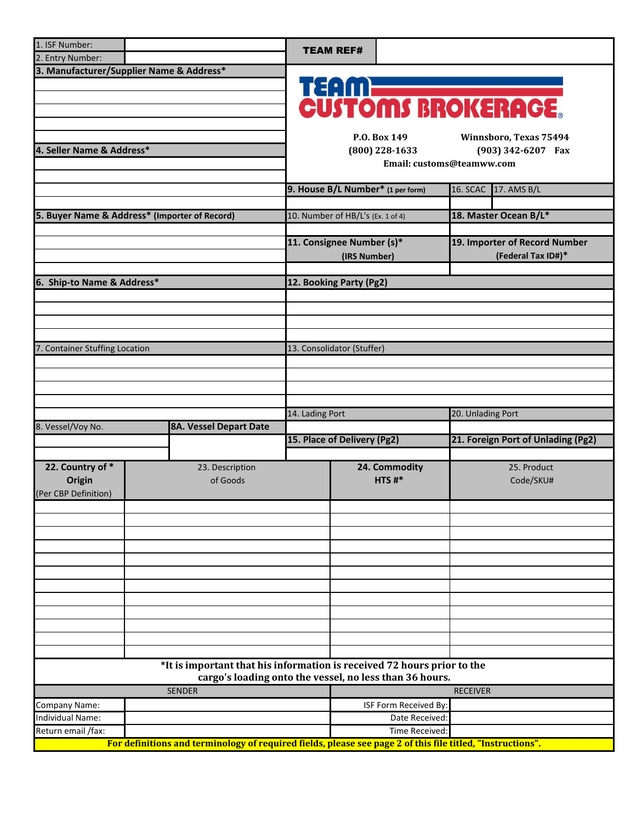| 1. ISF Number:                                     |  |                                                                                                            |                             | <b>TEAM REF#</b>                       |                                    |                 |                               |  |  |
|----------------------------------------------------|--|------------------------------------------------------------------------------------------------------------|-----------------------------|----------------------------------------|------------------------------------|-----------------|-------------------------------|--|--|
| 2. Entry Number:                                   |  |                                                                                                            |                             |                                        |                                    |                 |                               |  |  |
| 3. Manufacturer/Supplier Name & Address*           |  |                                                                                                            |                             |                                        |                                    |                 |                               |  |  |
|                                                    |  |                                                                                                            |                             |                                        | <b>TEAM</b>                        |                 |                               |  |  |
|                                                    |  |                                                                                                            |                             |                                        |                                    |                 |                               |  |  |
|                                                    |  |                                                                                                            |                             |                                        |                                    |                 | <b>CUSTOMS BROKERAGE</b>      |  |  |
|                                                    |  |                                                                                                            |                             |                                        |                                    |                 |                               |  |  |
|                                                    |  |                                                                                                            |                             |                                        | P.O. Box 149                       |                 | Winnsboro, Texas 75494        |  |  |
| 4. Seller Name & Address*                          |  |                                                                                                            |                             | $(800)$ 228-1633<br>(903) 342-6207 Fax |                                    |                 |                               |  |  |
|                                                    |  |                                                                                                            |                             |                                        | Email: customs@teamww.com          |                 |                               |  |  |
|                                                    |  |                                                                                                            |                             |                                        |                                    |                 |                               |  |  |
|                                                    |  |                                                                                                            |                             |                                        | 9. House B/L Number* (1 per form)  |                 | 16. SCAC 17. AMS B/L          |  |  |
|                                                    |  |                                                                                                            |                             |                                        |                                    |                 |                               |  |  |
| 5. Buyer Name & Address* (Importer of Record)      |  |                                                                                                            |                             | 10. Number of HB/L's (Ex. 1 of 4)      |                                    |                 | 18. Master Ocean B/L*         |  |  |
|                                                    |  |                                                                                                            |                             |                                        |                                    |                 |                               |  |  |
|                                                    |  |                                                                                                            |                             | 11. Consignee Number (s)*              |                                    |                 | 19. Importer of Record Number |  |  |
|                                                    |  |                                                                                                            |                             | (IRS Number)                           |                                    |                 | (Federal Tax ID#)*            |  |  |
|                                                    |  |                                                                                                            |                             |                                        |                                    |                 |                               |  |  |
| 6. Ship-to Name & Address*                         |  |                                                                                                            |                             | 12. Booking Party (Pg2)                |                                    |                 |                               |  |  |
|                                                    |  |                                                                                                            |                             |                                        |                                    |                 |                               |  |  |
|                                                    |  |                                                                                                            |                             |                                        |                                    |                 |                               |  |  |
|                                                    |  |                                                                                                            |                             |                                        |                                    |                 |                               |  |  |
|                                                    |  |                                                                                                            |                             |                                        |                                    |                 |                               |  |  |
| 7. Container Stuffing Location                     |  |                                                                                                            |                             | 13. Consolidator (Stuffer)             |                                    |                 |                               |  |  |
|                                                    |  |                                                                                                            |                             |                                        |                                    |                 |                               |  |  |
|                                                    |  |                                                                                                            |                             |                                        |                                    |                 |                               |  |  |
|                                                    |  |                                                                                                            |                             |                                        |                                    |                 |                               |  |  |
|                                                    |  |                                                                                                            |                             |                                        |                                    |                 |                               |  |  |
|                                                    |  |                                                                                                            |                             | 20. Unlading Port<br>14. Lading Port   |                                    |                 |                               |  |  |
| 8. Vessel/Voy No.<br><b>8A. Vessel Depart Date</b> |  |                                                                                                            |                             |                                        |                                    |                 |                               |  |  |
|                                                    |  |                                                                                                            | 15. Place of Delivery (Pg2) |                                        | 21. Foreign Port of Unlading (Pg2) |                 |                               |  |  |
|                                                    |  |                                                                                                            |                             |                                        |                                    |                 |                               |  |  |
| 22. Country of *                                   |  | 23. Description                                                                                            |                             |                                        | 24. Commodity                      |                 | 25. Product                   |  |  |
| Origin                                             |  | of Goods                                                                                                   |                             |                                        | HTS#*                              |                 | Code/SKU#                     |  |  |
| (Per CBP Definition)                               |  |                                                                                                            |                             |                                        |                                    |                 |                               |  |  |
|                                                    |  |                                                                                                            |                             |                                        |                                    |                 |                               |  |  |
|                                                    |  |                                                                                                            |                             |                                        |                                    |                 |                               |  |  |
|                                                    |  |                                                                                                            |                             |                                        |                                    |                 |                               |  |  |
|                                                    |  |                                                                                                            |                             |                                        |                                    |                 |                               |  |  |
|                                                    |  |                                                                                                            |                             |                                        |                                    |                 |                               |  |  |
|                                                    |  |                                                                                                            |                             |                                        |                                    |                 |                               |  |  |
|                                                    |  |                                                                                                            |                             |                                        |                                    |                 |                               |  |  |
|                                                    |  |                                                                                                            |                             |                                        |                                    |                 |                               |  |  |
|                                                    |  |                                                                                                            |                             |                                        |                                    |                 |                               |  |  |
|                                                    |  |                                                                                                            |                             |                                        |                                    |                 |                               |  |  |
|                                                    |  |                                                                                                            |                             |                                        |                                    |                 |                               |  |  |
|                                                    |  |                                                                                                            |                             |                                        |                                    |                 |                               |  |  |
|                                                    |  | *It is important that his information is received 72 hours prior to the                                    |                             |                                        |                                    |                 |                               |  |  |
|                                                    |  | cargo's loading onto the vessel, no less than 36 hours.                                                    |                             |                                        |                                    |                 |                               |  |  |
|                                                    |  | <b>SENDER</b>                                                                                              |                             |                                        |                                    | <b>RECEIVER</b> |                               |  |  |
| Company Name:                                      |  |                                                                                                            |                             |                                        | ISF Form Received By               |                 |                               |  |  |
| Individual Name:                                   |  |                                                                                                            |                             |                                        | Date Received                      |                 |                               |  |  |
| Return email /fax:                                 |  |                                                                                                            |                             |                                        | Time Received:                     |                 |                               |  |  |
|                                                    |  | For definitions and terminology of required fields, please see page 2 of this file titled, "Instructions". |                             |                                        |                                    |                 |                               |  |  |